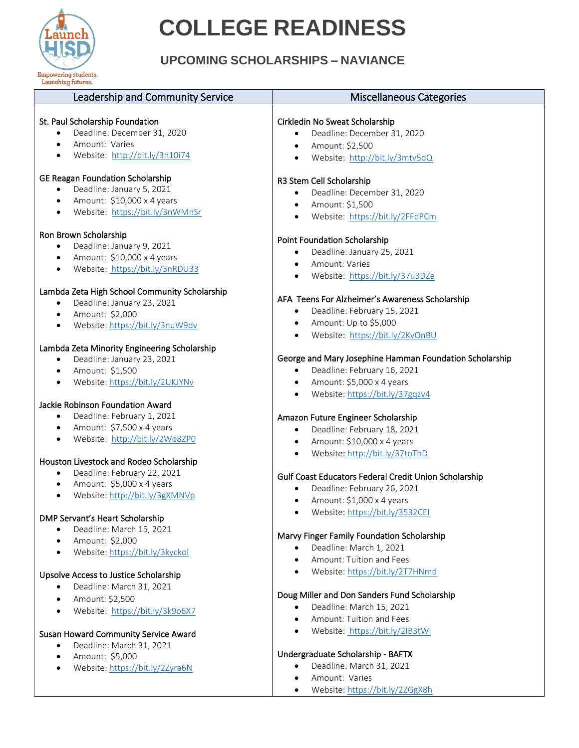

• Amount: \$5,000

• Website: <https://bit.ly/2Zyra6N>

## **COLLEGE READINESS**

### **UPCOMING SCHOLARSHIPS – NAVIANCE**

| Launching futures.                                                          |                                                         |
|-----------------------------------------------------------------------------|---------------------------------------------------------|
| Leadership and Community Service                                            | <b>Miscellaneous Categories</b>                         |
|                                                                             |                                                         |
| St. Paul Scholarship Foundation<br>Deadline: December 31, 2020              | Cirkledin No Sweat Scholarship                          |
| Amount: Varies                                                              | Deadline: December 31, 2020                             |
| $\bullet$                                                                   | Amount: \$2,500<br>$\bullet$                            |
| Website: http://bit.ly/3h10i74<br>$\bullet$                                 | Website: http://bit.ly/3mtv5dQ<br>$\bullet$             |
| <b>GE Reagan Foundation Scholarship</b>                                     | R3 Stem Cell Scholarship                                |
| Deadline: January 5, 2021                                                   | Deadline: December 31, 2020<br>$\bullet$                |
| Amount: \$10,000 x 4 years<br>$\bullet$                                     | Amount: \$1,500<br>$\bullet$                            |
| Website: https://bit.ly/3nWMnSr<br>$\bullet$                                | Website: https://bit.ly/2FFdPCm<br>$\bullet$            |
| Ron Brown Scholarship                                                       | <b>Point Foundation Scholarship</b>                     |
| Deadline: January 9, 2021                                                   |                                                         |
| Amount: \$10,000 x 4 years<br>$\bullet$                                     | Deadline: January 25, 2021                              |
| Website: https://bit.ly/3nRDU33<br>$\bullet$                                | Amount: Varies                                          |
|                                                                             | Website: https://bit.ly/37u3DZe<br>$\bullet$            |
| Lambda Zeta High School Community Scholarship<br>Deadline: January 23, 2021 | AFA Teens For Alzheimer's Awareness Scholarship         |
| Amount: \$2,000<br>$\bullet$                                                | Deadline: February 15, 2021<br>$\bullet$                |
| Website: https://bit.ly/3nuW9dv<br>$\bullet$                                | Amount: Up to \$5,000<br>$\bullet$                      |
|                                                                             | Website: https://bit.ly/2KvOnBU                         |
| Lambda Zeta Minority Engineering Scholarship                                |                                                         |
| Deadline: January 23, 2021                                                  | George and Mary Josephine Hamman Foundation Scholarship |
| Amount: \$1,500<br>$\bullet$                                                | Deadline: February 16, 2021<br>$\bullet$                |
| Website: https://bit.ly/2UKJYNv<br>$\bullet$                                | Amount: \$5,000 x 4 years                               |
|                                                                             | Website: https://bit.ly/37gqzv4                         |
| Jackie Robinson Foundation Award                                            |                                                         |
| Deadline: February 1, 2021<br>$\bullet$                                     | Amazon Future Engineer Scholarship                      |
| Amount: \$7,500 x 4 years<br>$\bullet$                                      | Deadline: February 18, 2021<br>$\bullet$                |
| Website: http://bit.ly/2Wo8ZP0<br>$\bullet$                                 | Amount: \$10,000 x 4 years<br>$\bullet$                 |
| Houston Livestock and Rodeo Scholarship                                     | Website: http://bit.ly/37toThD<br>$\bullet$             |
| Deadline: February 22, 2021<br>$\bullet$                                    |                                                         |
| Amount: \$5,000 x 4 years<br>$\bullet$                                      | Gulf Coast Educators Federal Credit Union Scholarship   |
| Website: http://bit.ly/3gXMNVp<br>$\bullet$                                 | Deadline: February 26, 2021                             |
|                                                                             | Amount: \$1,000 x 4 years<br>$\bullet$                  |
| DMP Servant's Heart Scholarship                                             | Website: https://bit.ly/3532CEI                         |
| Deadline: March 15, 2021                                                    |                                                         |
| Amount: \$2,000<br>$\bullet$                                                | Marvy Finger Family Foundation Scholarship              |
| Website: https://bit.ly/3kyckol<br>$\bullet$                                | Deadline: March 1, 2021                                 |
|                                                                             | Amount: Tuition and Fees                                |
| Upsolve Access to Justice Scholarship                                       | Website: https://bit.ly/2T7HNmd                         |
| Deadline: March 31, 2021<br>$\bullet$                                       |                                                         |
| Amount: \$2,500<br>$\bullet$                                                | Doug Miller and Don Sanders Fund Scholarship            |
| Website: https://bit.ly/3k9o6X7<br>$\bullet$                                | Deadline: March 15, 2021<br>$\bullet$                   |
|                                                                             | Amount: Tuition and Fees                                |
| Susan Howard Community Service Award                                        | Website: https://bit.ly/2IB3tWi                         |
| Deadline: March 31, 2021                                                    |                                                         |

#### Undergraduate Scholarship - BAFTX

- Deadline: March 31, 2021
- Amount: Varies
- Website[: https://bit.ly/2ZGgX8h](https://bit.ly/2ZGgX8h)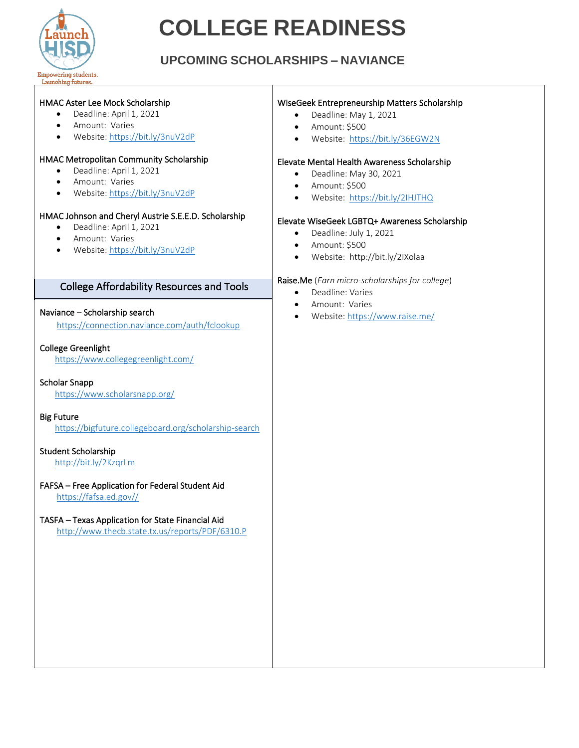

# **COLLEGE READINESS**

#### **UPCOMING SCHOLARSHIPS – NAVIANCE**

| HMAC Aster Lee Mock Scholarship<br>Deadline: April 1, 2021<br>$\bullet$<br>Amount: Varies<br>$\bullet$<br>Website: https://bit.ly/3nuV2dP<br>$\bullet$<br>HMAC Metropolitan Community Scholarship<br>Deadline: April 1, 2021<br>$\bullet$<br>Amount: Varies<br>$\bullet$<br>Website: https://bit.ly/3nuV2dP<br>$\bullet$<br>HMAC Johnson and Cheryl Austrie S.E.E.D. Scholarship<br>Deadline: April 1, 2021<br>$\bullet$<br>Amount: Varies<br>$\bullet$<br>Website: https://bit.ly/3nuV2dP<br>$\bullet$ | WiseGeek Entrepreneurship Matters Scholarship<br>Deadline: May 1, 2021<br>$\bullet$<br>Amount: \$500<br>$\bullet$<br>Website: https://bit.ly/36EGW2N<br>$\bullet$<br>Elevate Mental Health Awareness Scholarship<br>Deadline: May 30, 2021<br>$\bullet$<br>Amount: \$500<br>$\bullet$<br>Website: https://bit.ly/2IHJTHQ<br>$\bullet$<br>Elevate WiseGeek LGBTQ+ Awareness Scholarship<br>Deadline: July 1, 2021<br>$\bullet$<br>Amount: \$500<br>$\bullet$<br>Website: http://bit.ly/2IXolaa<br>$\bullet$ |
|---------------------------------------------------------------------------------------------------------------------------------------------------------------------------------------------------------------------------------------------------------------------------------------------------------------------------------------------------------------------------------------------------------------------------------------------------------------------------------------------------------|------------------------------------------------------------------------------------------------------------------------------------------------------------------------------------------------------------------------------------------------------------------------------------------------------------------------------------------------------------------------------------------------------------------------------------------------------------------------------------------------------------|
| <b>College Affordability Resources and Tools</b>                                                                                                                                                                                                                                                                                                                                                                                                                                                        | Raise.Me (Earn micro-scholarships for college)<br>Deadline: Varies<br>$\bullet$                                                                                                                                                                                                                                                                                                                                                                                                                            |
| Naviance - Scholarship search<br>https://connection.naviance.com/auth/fclookup                                                                                                                                                                                                                                                                                                                                                                                                                          | Amount: Varies<br>$\bullet$<br>Website: https://www.raise.me/<br>$\bullet$                                                                                                                                                                                                                                                                                                                                                                                                                                 |
| <b>College Greenlight</b><br>https://www.collegegreenlight.com/                                                                                                                                                                                                                                                                                                                                                                                                                                         |                                                                                                                                                                                                                                                                                                                                                                                                                                                                                                            |
| <b>Scholar Snapp</b><br>https://www.scholarsnapp.org/                                                                                                                                                                                                                                                                                                                                                                                                                                                   |                                                                                                                                                                                                                                                                                                                                                                                                                                                                                                            |
| <b>Big Future</b><br>https://bigfuture.collegeboard.org/scholarship-search                                                                                                                                                                                                                                                                                                                                                                                                                              |                                                                                                                                                                                                                                                                                                                                                                                                                                                                                                            |
| Student Scholarship<br>http://bit.ly/2KzqrLm                                                                                                                                                                                                                                                                                                                                                                                                                                                            |                                                                                                                                                                                                                                                                                                                                                                                                                                                                                                            |
| FAFSA - Free Application for Federal Student Aid<br>https://fafsa.ed.gov//                                                                                                                                                                                                                                                                                                                                                                                                                              |                                                                                                                                                                                                                                                                                                                                                                                                                                                                                                            |
| TASFA - Texas Application for State Financial Aid<br>http://www.thecb.state.tx.us/reports/PDF/6310.P                                                                                                                                                                                                                                                                                                                                                                                                    |                                                                                                                                                                                                                                                                                                                                                                                                                                                                                                            |